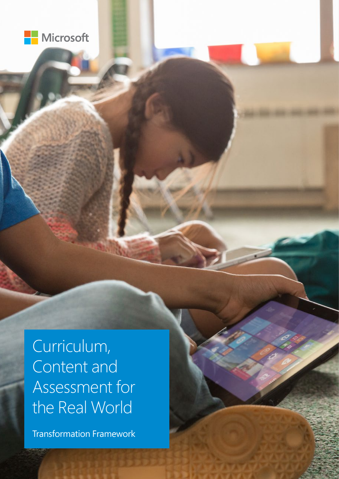

Curriculum, Content and Assessment for the Real World

Transformation Framework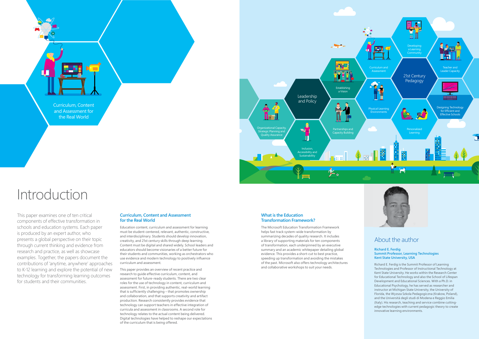

### **Curriculum, Content and Assessment for the Real World**

Education content, curriculum and assessment for learning must be student-centered, relevant, authentic, constructive, and interdisciplinary. Students should develop innovation, creativity, and 21st century skills through deep learning. Content must be digital and shared widely. School leaders and educators should become visionaries of a better future for their students and communities, working as orchestrators who use evidence and modern technology to positively influence curriculum and assessment.

This paper provides an overview of recent practice and research to guide effective curriculum, content, and assessment for future-ready students. There are two clear roles for the use of technology in content, curriculum and assessment. First, in providing authentic, real-world learning that is sufficiently challenging – that promotes ownership and collaboration, and that supports creativity and artifact production. Research consistently provides evidence that technology can support teachers in effective integration of curricula and assessment in classrooms. A second role for technology relates to the actual content being delivered. Digital technologies have helped to reshape our expectations of the curriculum that is being offered.

# Introduction

### About the author

#### **Richard E. Ferdig Summit Professor, Learning Technologies Kent State University, USA**

Richard E. Ferdig is the Summit Professor of Learning Technologies and Professor of Instructional Technology at Kent State University. He works within the Research Center for Educational Technology and also the School of Lifespan Development and Educational Sciences. With a Ph.D. in Educational Psychology, he has served as researcher and instructor at Michigan State University, the University of Florida, the Wyzsza Szkola Pedagogiczna (Krakow, Poland), and the Università degli studi di Modena e Reggio Emilia (Italy). His research, teaching and service combine cuttingedge technologies with current pedagogic theory to create innovative learning environments.

Curriculum, Content and Assessment for the Real World

#### **What is the Education Transformation Framework?**

The Microsoft Education Transformation Framework helps fast track system-wide transformation by summarizing decades of quality research. It includes a library of supporting materials for ten components of transformation, each underpinned by an executive summary and an academic whitepaper detailing global evidence. This provides a short-cut to best practice, speeding up transformation and avoiding the mistakes of the past. Microsoft also offers technology architectures and collaborative workshops to suit your needs.



This paper examines one of ten critical components of effective transformation in schools and education systems. Each paper is produced by an expert author, who presents a global perspective on their topic through current thinking and evidence from research and practice, as well as showcase examples. Together, the papers document the contributions of 'anytime, anywhere' approaches to K-12 learning and explore the potential of new technology for transforming learning outcomes for students and their communities.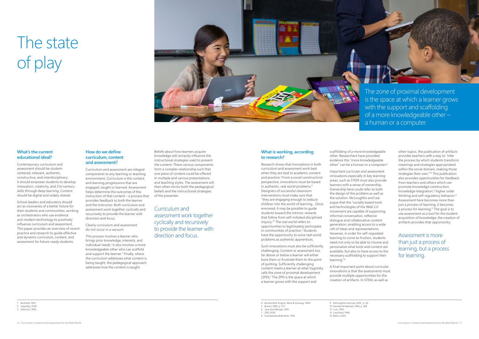# The state of play

### **What's the current educational ideal?**

Contemporary curriculum and assessment should be studentcentered, relevant, authentic, constructive, and interdisciplinary. It should empower students to develop innovation, creativity, and 21st century skills through deep learning. Content should be digital and widely shared.

School leaders and educators should act as visionaries of a better future for their students and communities, working as orchestrators who use evidence and modern technology to positively influence curriculum and assessment. This paper provides an overview of recent practice and research to guide effective and dynamic curriculum, content, and assessment for future-ready students.

### **How do we define curriculum, content and assessment?**

Curriculum and assessment are integral components to any learning or teaching environment. Curriculum is the content and learning progressions that are engaged, taught or learned. Assessment helps determine the outcomes of the instruction of that content – a process that provides feedback to both the learner and the instructor. Both curriculum and assessment work together cyclically and recursively to provide the learner with direction and focus.

Curriculum and assessment work together cyclically and recursively to provide the learner with direction and focus.

Clearly curriculum and assessment do not occur in a vacuum

This process involves a learner who brings prior knowledge, interests, and individual needs.<sup>1</sup> It also involves a more knowledgeable other who can scaffold and support the learner.<sup>2</sup> Finally, where the curriculum addresses what content is being taught, the pedagogical approach addresses how the content is taught.

scaffolding of a more knowledgeable other. Researchers have provided evidence this "more knowledgeable other" can be a human or a computer.<sup>8</sup>

Beliefs about how learners acquire knowledge will certainly influence the instructional strategies used to present the content. These various components form a complex relationship such that one piece of content could be offered in multiple and various presentations and teaching styles. The assessment will then often mirror both the pedagogical beliefs and the instructional strategies of the presenter.

### **What is working, according to research?**

Research shows that innovations in both curriculum and assessment work best when they are tied to academic content and practice.<sup>3</sup> From a social constructivist perspective, innovations must be based in authentic, real world problems.4 Designers of successful classroom interventions must make sure that "they are engaging enough to seduce children into the world of learning... Once ensnared, it may be possible to guide students toward the intrinsic rewards that follow from self-initiated disciplined inquiry."5 The real world refers to opportunities to legitimately participate in communities of practice.<sup>6</sup> Students have the opportunity to solve real world problems as authentic apprentices.

Such innovations must also be sufficiently challenging. Content or assessment too far above or below a learner will either bore them or frustrate them to the point of quitting. Sufficiently challenging content meets a learner at what Vygotsky calls the zone of proximal development (ZPD).<sup>7</sup> The ZPD is the space at which a learner grows with the support and

Important curricular and assessment innovations especially in key learning areas, such as STEM must also provide learners with a sense of ownership. Ownership here could refer to both the design of the problem as well as the solution. McLoughlin and Lee argue that the "socially based tools and technologies of the Web 2.0 movement are capable of supporting informal conversation, reflexive dialogue and collaborative content generation, enabling access to a wide raft of ideas and representations. However, in order for self-regulated learning to come to fruition, students need not only to be able to choose and personalize what tools and content are available, but also to have access to the necessary scaffolding to support their learning."9

A final important point about curricular innovations is that the assessments must provide multiple opportunities for the creation of artifacts. In STEM, as well as

other topics, the publication of artifacts provides teachers with a way to "infer the process by which students transform meanings and strategies appropriated within the social domain, making those strategies their own."10 This publication also provides opportunities for feedback from teachers and others which can promote knowledge construction, knowledge integration,<sup>11</sup> higher order thinking and self-regulatory behavior.<sup>12</sup> Assessment here becomes more than just a process of learning; it becomes a process for learning.13 The goal is to use assessment as a tool for the student acquisition of knowledge; the creation of artifacts provides that opportunity.

Assessment is more than just a process of learning, but a process for learning.

- 4 Blumenfeld, Krajcik, Marx & Soloway, 1994.
- 5 Brown, 1992, p. 173.
- 6 Lave and Wenger, 1991.
- 7 ZPD; 1978.
- 8 Scardamalia & Bereiter, 1991.



- 9 McLoughlin and Lee, 2010, p. 28. 10 Gavelek & Raphael, 1996, p. 188.
- 11 Linn, 1992.
- 12 Laurillard, 1996.
	- 13 Black, 2004.
- 4 | Curriculum, Content and Assessment for the Real World Curriculum, Content and Assessment for the Real World | 5

a human or a computer.

1 Rochelle, 1997. 2 Vygotsky, 1978. 3 Salomon, 1993.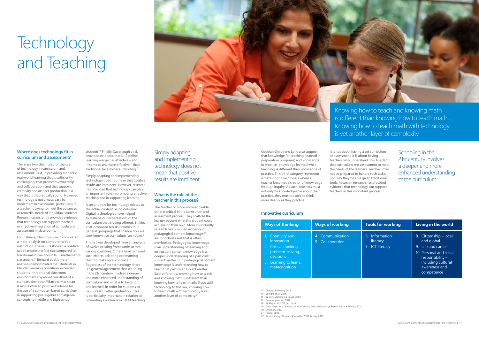# **Technology** and Teaching



### **Where does technology fit in curriculum and assessment?**

There are two clear roles for the use of technology in curriculum and assessment. First, in providing authentic, real-world learning that is sufficiently challenging; that promotes ownership and collaboration, and that supports creativity and artifact production in a way that is theoretically sound. However, technology is not always easy to implement in classrooms, particularly if a teacher is trying to meet the advanced or remedial needs of individual students. Research consistently provides evidence that technology can support teachers in effective integration of curricula and assessment in classrooms.

students.<sup>16</sup> Finally, Cavanaugh et al. provided evidence that K-12 online learning was just as effective – and in some cases, more effective – than traditional face-to-face schooling.17

A second role for technology relates to the actual content being delivered. Digital technologies have helped to reshape our expectations of the curriculum that is being offered. Binkley et al. proposed ten skills within four general groupings that change how we view innovative curriculum (see table).<sup>18</sup>

For instance, Cheung & Slavin completed a meta-analysis on computer-aided instruction. The results showed a positive (albeit modest) effect size compared to traditional instruction in K-12 mathematics classrooms.14 Bernard et al.'s metaanalyses demonstrated that students in blended learning conditions exceeded students in traditional classroom environments by about one-third of a standard deviation.15 Barrow, Markman & Rouse offered positive evidence for the use of a computer-based curriculum in supporting pre-algebra and algebra concepts to middle and high school

The teacher or more knowledgeable other is critical in the curriculum and assessment process. They scaffold the learner beyond what the student could achieve on their own. More importantly, research has provided evidence of pedagogical content knowledge,<sup>20</sup> an important asset that is often overlooked. Pedagogical knowledge is an understanding of learning and instruction; content knowledge is a deeper understanding of a particular subject matter. But, pedagogical content knowledge is understanding how to teach that particular subject matter. Said differently, knowing how to teach and knowing math is different than knowing how to teach math. If you add technology to the mix, knowing how to teach math with technology is yet another layer of complexity.<sup>21</sup>

Simply adapting and implementing technology does not mean that positive results are imminent. However, research has provided that technology can play an important role in promoting effective teaching and in supporting learning.

It is not about having a set curriculum or assessment, it is about having teachers who understand how to adapt that curriculum and assessment to meet the needs of the learners. Teachers may not be prepared to handle such tasks, nor may they be able given traditional tools; however, research has provided evidence that technology can support teachers in this important process.<sup>22</sup>

This list was developed from an analysis of twelve existing frameworks across various countries. Others have mirrored such efforts, adapting or renaming them to make local contexts.19 Regardless of the terminology, there is a general agreement that schooling in the 21st century involves a deeper and more enhanced understanding of curriculum, and what is to be taught and learned, in order for students to be successful after graduation. This is particulalry important in relation to promoting excellence in STEM teaching.

### Simply adapting and implementing technology does not mean that positive results are imminent.

### **What is the role of the teacher in this process?**

Cochran-Smith and Lytle also suggest that knowledge for teaching (learned in preparation programs) and knowledge in practice (knowledge learned while teaching) is different than knowledge of practice. This third category represents a meta-cognitive process where a teacher becomes a creator of knowledge through inquiry. As such, teachers must not only be knowledgeable about their practice, they must be able to think more deeply as they practice.

Schooling in the 21st century involves a deeper and more enhanced understanding of the curriculum.

14 Cheung & Slaving, 2013.

15 Bernard et al., 2014.

16 Barrow, Markman & Rouse, 2009.

17 Cavanaugh et al., 2004.

18 Binkley et al., 2012, pp. 18-19.

19 Assessment and Teaching of 21st Century Skills, 2014; Voogt, Erstad, Dede, & Mishra, 2013.

20 Shulman, 1986.

21 Ferdig, 2006.

22 Russell, Carey, Kleiman, & Venable, 2009; Ferdig, 2010.

Knowing how to teach and knowing math is different than knowing how to teach math… Knowing how to teach math with technology is yet another layer of complexity.

#### **Innovative curriculum**

| <b>Ways of thinking</b>                                                                                                                          | <b>Ways of working</b>               | <b>Tools for working</b>                      | Living in the world                                                                                                                                               |
|--------------------------------------------------------------------------------------------------------------------------------------------------|--------------------------------------|-----------------------------------------------|-------------------------------------------------------------------------------------------------------------------------------------------------------------------|
| Creativity and<br>$1_{\cdots}$<br>innovation<br>2. Critical thinking,<br>problem-solving,<br>decisions<br>3. Learning to learn,<br>metacognition | 4. Communication<br>5. Collaboration | 6. Information<br>literacy<br>7. ICT literacy | Citizenship - local<br>8.<br>and global<br>9. Life and career<br>10. Personal and social<br>responsibility -<br>including cultural<br>awareness and<br>competence |

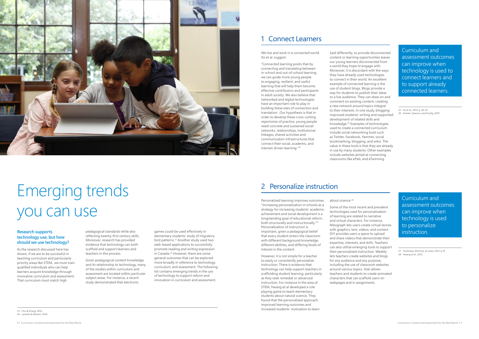

# Emerging trends you can use

### **Research supports technology use, but how should we use technology?**

As the research discussed here has shown, if we are to be successful in teaching curriculum and particularly priority areas like STEM, we must train qualified individuals who can help learners acquire knowledge through innovative curriculum and assessment. That curriculum must match high

pedagogical standards while also reflecting twenty-first century skills. Moreover, research has provided evidence that technology can both scaffold and support learners and teachers in this process.

Given pedagogical content knowledge and its relationship to technology, many of the studies within curriculum and assessment are located within particular subject areas. For instance, a recent study demonstrated that electronic

games could be used effectively in elementary students' study of migratory bird patterns.<sup>23</sup> Another study used two web-based applications to successfully promote reading and writing expression in Canada.24 However, there are some general outcomes that can be explored more broadly in reference to technology, curriculum, and assessment. The following list contains emerging trends in the use of technology to support reform and innovation in curriculum and assessment.

We live and work in a connected world. Ito et al. suggest:

"Connected learning posits that by connecting and translating between in-school and out-of-school learning, we can guide more young people to engaging, resilient, and useful learning that will help them become effective contributors and participants in adult society. We also believe that networked and digital technologies have an important role to play in building these sites of connection and translation…Our hypothesis is that in order to develop these cross-cutting repertoires of practice, young people need concrete and sustained social networks, relationships, institutional linkages, shared activities and communication infrastructures that connect their social, academic, and interest-driven learning."25

Said differently, to provide disconnected content or learning opportunities leaves our young learners disconnected from a world they hope to engage with. Moreover, it is discordant with the ways they have already used technologies to connect in their world. An excellent example of connected learning is the use of student blogs. Blogs provide a way for students to publish their ideas to a live audience. They can draw on and comment on existing content, creating a new network around topics integral to their interests. In one study, blogging improved students' writing and supported development of related skills and knowledge.26 Examples of technologies used to create a connected curriculum include social networking tools such as Twitter, Facebook, Yammer, social bookmarking, blogging, and wikis. The value in these tools is that they are already in use by many students. Other examples include websites aimed at connecting classrooms like ePals, and eTwinning.

23 Chu & Chang, 2014. 24 Lysenko & Abrami, 2014. 25 Ito et al., 2013, p. 46-47. 26 Drexler, Dawson, and Ferdig, 2007.

## 1 Connect Learners

Curriculum and assessment outcomes can improve when technology is used to connect learners and to support already connected learners.

Personalized learning improves outcomes. "Increasing personalization in schools as a strategy for increasing students' academic achievement and social development is a longstanding goal of educational reform, both structurally and instructionally."27 Personalization of instruction is important, given a pedagogical belief that every student enters the classroom with different background knowledge, different abilities, and differing levels of interest in the content.

However, it is not simple for a teacher to easily or consistently personalize instruction. There is evidence that technology can help support teachers in scaffolding student learning, particularly as they seek remedial or advanced instruction. For instance in the area of STEM, Hwang et al developed a role playing game to teach elementary students about natural science. They found that the personalized approach improved learning outcomes and increased students' motivation to learn

#### about science.<sup>28</sup>

Some of the most recent and prevalent technologies used for personalization of learning are related to narrative and virtual characters. For instance, Meograph lets users create virtual stories with graphics, text, videos, and context. DIY provides users a space to upload and share videos that demonstrate their expertise, interests, and skills. Teachers can also utilize emerging tools to support their personalized instruction. Weebly lets teachers create websites and blogs for any audience and any purpose, including the use of classroom websites around various topics. Voki allows teachers and students to create animated characters that can scaffold users on webpages and in assignments.

27 Yonezawa, McClure, & Jones, 2012, p.10. 28 Hwang et al., 2012.

### 2 Personalize instruction

Curriculum and assessment outcomes can improve when technology is used to personalize instruction.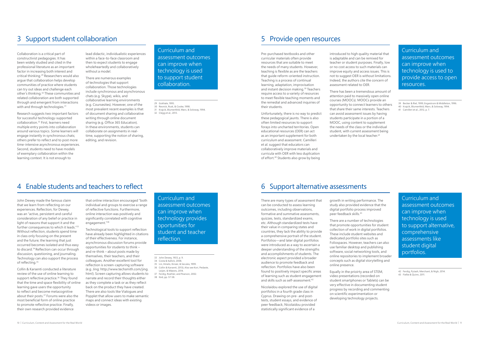Research suggests two important factors for successful technology-supported collaboration.32 First, learners need multiple entry points into collaboration around various topics. Some learners will engage instantly in synchronous chats; others prefer to reflect and to post more time-intensive asynchronous experiences. Second, students need to have models of exemplary collaboration within the learning context. It is not enough to

lead didactic, individualistic experiences within a face-to-face classroom and then to expect students to engage wholeheartedly and collaboratively without a model.

> Unfortunately, there is no way to predict these pedagogical jaunts. There is also often limited resources to support forays into uncharted territories. Open educational resources (OER) can act as an important supplement for both curriculum and assessment. Camilleri et al. suggest that educators can collaboratively improve materials and curricula with OER with less duplication of effort.<sup>40</sup> Students also grow by being

There are numerous examples of technologies that support collaboration. Those technologies include synchronous and asynchronous chats (e.g. Skype), wikis, and collaborative learning environments (e.g. Coursesites). However, one of the most prevalent recent examples is that of document sharing and collaborative writing through online document sharing (e.g. Office 365 Education). In these environments, students can collaborate on assignments in realtime, supporting the notion of sharing, editing, and revision.

There has been a tremendous amount of attention paid to massively open online courses (MOOCs). MOOCs provide an opportunity to connect learners to others that share their same interests. Teachers can avoid assessment issues by having students participate in a portion of a MOOC, using content to supplement the needs of the class or the individual student, with current assessment being undertaken by the local teacher.<sup>41</sup>

### 4 Enable students and teachers to reflect 6 Support alternative assessments

Pre-purchased textbooks and other curricular materials often provide resources that are suitable to meet the needs of many students. However, teaching is flexible as are the teachers that guide reform-oriented instruction. Teaching is a process of continual learning, adaptation, improvisation and instant decision making.<sup>39</sup> Teachers require access to a variety of resources to meet flexible teaching moments and the remedial and advanced inquiries of their students.

introduced to high quality material that is adaptable and can be remixed for teacher or student purposes. Finally, low or no cost access to such materials can improve equity and access issues. This is not to suggest OER is without limitations. Indeed, the authors cite the concern of assessment related to OER.

John Dewey made the famous claim that we learn from reflecting on our experiences. Reflection, for Dewey, was an "active, persistent and careful consideration of any belief or practice in light of reasons that support it and the further consequences to which it leads."33 Without reflection, students spend time in class only focusing on the present and the future; the learning that just occurred becomes isolated and thus easy to discard.34 Reflection can occur through discussion, questioning, and journaling. Technology can also support the process of reflecting.<sup>35</sup>

Collin & Karsenti conducted a literature review of the use of online learning to support reflective practice.<sup>36</sup> They found that the time and space flexibility of online learning gave users the opportunity to reflect and become metacognitive about their posts.37 Forums were also the most beneficial form of online practice to promote reflective practice. Finally, their own research provided evidence

that online interaction encouraged "both individual and groups to exercise a range of reflective functions. Furthermore, online interaction was positively and significantly correlated with cognitive engagement."38

Technological tools to support reflection have already been highlighted in citations of their effectiveness. For instance, asynchronous discussion forums provide opportunities for students to think – and re-think – about posts made by themselves, their teachers, and their colleagues. Another excellent tool for reflection is screen-capturing software (e.g. Jing: http://www.techsmith.com/jing. html). Screen capturing allows students to narrate and record their thoughts either as they complete a task or as they reflect back on the product they have created. There are also tools like Vialogues and Popplet that allow users to make semantic maps and connect ideas with existing videos or images.

There are many types of assessment that can be conducted to assess learning outcomes, including observations, formative and summative assessments, quizzes, tests, standardized exams, etc. Although standardized tests have their value in comparing states and countries, they lack the ability to provide a comprehensive portrait of the student. Portfolios—and later digital portfolios were introduced as a way to ascertain a deeper understanding of the strengths and accomplishments of students. The electronic aspect provided a broader audience to promote feedback and reflection. Portfolios have also been found to positively impact specific areas of learning such as student engagement and skills such as self-assessment.42

Nicolaidou explored the use of digital portfolios in a fourth grade class in Cyprus. Drawing on pre- and posttests, student essays, and evidence of peer feedback, Nicolaidou provided statistically significant evidence of a

growth in writing performance. The study also provided evidence that the digital portfolio process improved peer feedback skills.43

There are a number of technologies that promote opportunities for student collection of work in digital portfolios. These include student websites and dedicated portfolio sites such as Foliospaces. However, teachers can also use familiar desktop and publishing software, social networking tools, and online repositories to implement broader concepts such as digital storytelling and online presence.

Equally in the prioirty area of STEM, video presentations (recorded on student smartphones or Tablets) can be very effective in documenting student progress by recording and commenting on scientific experimentation or developing technology projects.

Curriculum and assessment outcomes can improve when technology is used to support student collaboration.

29 Gokhale, 1995.

30 Resnick, Rusk, & Cooke, 1998. 31 Krajcik, Blumenfeld, Marx, & Soloway, 1994. 32 Clegg et al., 2013.

- 39 Becker & Riel, 1999; Engestrom & Middleton, 1996.
- 40 Krajcik, Blumenfeld, Marx, & Soloway, 1994.
- 41 Camilleri et al., 2012, p. 7.

42 Ferdig, Pytash, Merchant, & Nigh, 2014. 43 Fielke & Quinn, 2011.

33 John Dewey, 1933, p. 9. 34 Costa & Kallick, 2008.

35 Lin, Hmelo, Kinzer, & Secules, 1999.

36 Collin & Karsenti, 2013); Also see Kori, Pedaste,

Leijen, & Mäeots, 2014.

37 Ferdig, Roehler, and Pearson, 2002. 38 Ibid, pp. 57-58.

## 3 Support student collaboration 5 Provide open resources

Collaboration is a critical part of constructivist pedagogies. It has been widely studied and cited in the professional literature as an important factor in increasing both interest and critical thinking.29 Researchers would also argue that collaboration helps develop communities of practice where students can try out ideas and challenge each other's thinking.30 These communities and related collaboration are both supported through and emergent from interactions with and through technologies.<sup>31</sup>

> Curriculum and assessment outcomes can improve when technology provides oportunities for student and teacher reflection.

Curriculum and assessment outcomes can improve when technology is used to support alternative, comprehensive assessments like student digital portfolios.

Curriculum and assessment outcomes can improve when technology is used to provide access to open resources.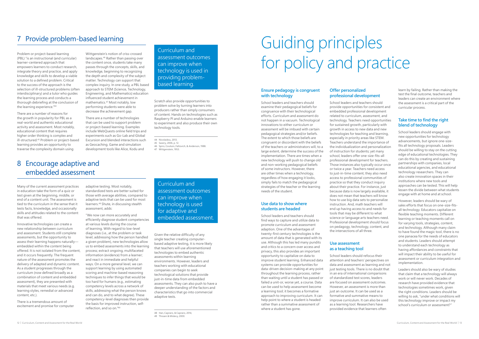Problem or project-based learning (PBL) "is an instructional (and curricular) learner-centered approach that empowers learners to conduct research, integrate theory and practice, and apply knowledge and skills to develop a viable solution to a defined problem. Critical to the success of the approach is the selection of ill-structured problems (often interdisciplinary) and a tutor who guides the learning process and conducts a thorough debriefing at the conclusion of the learning experience."44

There are a number of reasons for the growth in popularity for PBL as a real-world and authentic educational activity and assessment. Most notably, educational content that requires higher order thinking is complex and ill-structured.45 Problem or project-based learning provides an opportunity to traverse the complexity domain using

Wittgenstein's notion of criss-crossed landscapes.46 Rather than passing over the content once, students take many passes through the concepts, skills, and knowledge, beginning to recognizing the depth and complexity of the subject matter. Technology can support that complex inquiry. In one study, a PBL based approach to STEM (Science, Technology, Engineering, and Mathematics) education influenced student achievement in mathematics.47 Most notably, low performing students were able to decrease the achievement gap.

There are a number of technologies that can be used to support problem or project-based learning. Examples include WebQuests online field trips and experiments such as Go-Lab and Global Excursion and blended interactions such as Geocaching. Game and simulation development tools like Alice, Kodu and

Scratch also provide opportunities to problem solve by turning learners into producers rather than simply consumers of content. Hands on technologies such as Raspberry PI and Arduino enable learners to experiment and also produce their own

technology tools.

44 Nicolaidou, 2013. 45 Savery, 2006, p. 12.

46 Spiro, Coulson, Feltovich, & Anderson, 1988.

47 Wittgenstein, 1953.

Curriculum and

assessment outcomes

can improve when technology is used in providing problem-

based learning.

## 7 Provide problem-based learning

Many of the current assessment practices in education take the form of a quiz or test given at the beginning, middle, or end of a content unit. The assessment is tied to the curriculum in the sense that it tests facts, knowledge, and occasionally skills and attitudes related to the content that was offered.

Innovative technologies can create a new relationship between curriculum and assessment. Students still complete assessments, but the opportunity to assess their learning happens naturally embedded within the content being offered. It is not isolated from the content, and it occurs frequently. The frequent nature of the assessment promotes the delivery of adapted and dynamic content. As a student progresses through the curriculum (now defined broadly as a combination of content and embedded assessment), they are presented with materials that meet various needs (e.g. learning styles, remedial or advanced content, etc.).

There is a tremendous amount of excitement and promise for computer adaptive testing. Most notably, standardized tests are better suited for those with average abilities, compared to adaptive tests that can be used for most learners.<sup>48</sup> Shute, in discussing stealth assessment, adds:

"We now can more accurately and efficiently diagnose student competencies at various levels during the course of learning. With regard to low-level diagnoses (i.e., at the problem or task level, addressing how the person handled a given problem), new technologies allow us to embed assessments into the learning process; extract ongoing, multifaceted information (evidence) from a learner; and react in immediate and helpful ways. On a more general level, we can support learning by using automated scoring and machine-based reasoning techniques to infer things that would be too hard for humans (e.g., estimating competency levels across a network of skills, addressing what the person knows and can do, and to what degree). These competency-level diagnoses then provide the basis for improved instruction, selfreflection, and so on."<sup>49</sup>

Given the relative difficulty of any single teacher creating computerbased adaptive testing, it is more likely that teachers will use aforementioned technologies to embed authentic assessments within learning environments. However, leaders and teachers working with educational companies can begin to seek technological solutions that provide just-in-time data from embedded assessments. They can also push to have a deeper understanding of the factors and characteristics that go into commercial adaptive tests.

## 8 Encourage adaptive and embedded assessment

Curriculum and assessment outcomes can improve when technology is used for adaptive and embedded assessment.

### **Ensure pedagogy is congruent with technology**

School leaders and teachers should examine their pedagogical beliefs for congruence with their technological efforts. Curriculum and assessment do not happen in a vacuum. Technological innovations to either curriculum or assessment will be imbued with certain pedagogical strategies and/or beliefs. The extent to which those beliefs are congruent or discordant with the beliefs of the teachers or administrators will, to a large extent, determine the success of the implementation. There are times when a new technology will push to change old and non-working pedagogical beliefs of some instructors. However, there are other times when a technology, regardless of how engaging it looks, simply fails to match the pedagogical strategies of the teacher or the learning needs of the student.

#### **Use data to show where students are headed**

School leaders and teachers should find ways to capture and utilize data to promote curriculum and assessment adaption. One of the advantages of twenty-first century technologies is the amount of data that is generated with its use. Although this has led many pundits and critics to a concern over access and privacy, this also provides an important opportunity to capitalize on data to improve student learning. Enhanced data systems can provide opportunities for data-driven decision-making at any point throughout the learning process, rather than waiting until a student has passed or failed a unit-or, worse yet, a course. Data can be used to help assessment become a learning tool; it becomes a formative approach to improving curriculum. It can help point to where a student is headed rather than a summative assessment of where a student has gone.

### **Offer personalized professional development**

School leaders and teachers should provide opportunities for consistent and embedded professional development related to curriculum, assessment, and technology. Teachers need opportunities for sustained growth, particularly with growth in access to new data and new technologies for teaching and learning, especially in priority areas like STEM. Teachers understand the importance of the individualization and personalization of instruction for students; yet many school, leaders offer one-size-fits-all professional development for teachers. Those instances also typically occur once or twice a year. Teachers need access to just-in-time content; they also need access to professional communities of practice so that they conduct inquiry about their practice. For instance, just because data is now largely available, it does not mean that teachers will know how to use big data sets to personalize instruction. And, math teachers will end up having access to and needs for tools that may be different to what science or language arts teachers need. Professional development should focus on pedagogy, technology, content, and the intersections of all three.

### **Use assessment as a teaching tool**

School leaders should refocus their attention and teachers' perspectives on data and assessment as learning and not just testing tools. There is no doubt that in an era of international comparisons of standardized test scores, leaders are focused on assessment outcomes. However, an assessment is more than just an outcome. It can be used as a formative and summative means to improve curriculum. It can also be used as a learning tool. Researchers have provided evidence that learners often

learn by failing. Rather than making the test the final outcome, teachers and leaders can create an environment where the assessment is a critical part of the curricular process.

### **Take time to find the right blend of technology**

School leaders should engage with new opportunities for technology advancements, but ignore one-sizefits all technology proposals. Leaders should be willing to stay on the cutting edge of educational technologies. They can do this by creating and sustaining partnerships with companies, local educational agencies, and educational technology researchers. They can also create innovation spaces in their institutions where new tools and approaches can be tested. This will help lessen the divide between what students engage with at home and at school.

However, leaders should be wary of sales efforts that focus on one-size-fitsall technology. Educators capitalize on flexible teaching moments. Different learning or teaching moments call on for varying tools, strategies, content, and technology. Although many claim to have found the magic tool, there is no one panacea for the needs of educators and students. Leaders should attempt to understand each technology as having affordances and constraints that will impact their ability to be useful for assessment or curriculum integration and implementation.

Leaders should also be wary of studies that claim that a technology will always work or will never work. Decades of research have provided evidence that technologies sometimes work, given the right conditions. Leaders should be willing to ask, "under what conditions will this technology improve or impact my school's curriculum or assessment?"

Guiding principles for policy and practice

<sup>48</sup> Han, Capraro, & Capraro, 2014, 49 Thissen & Mislevy, 2000.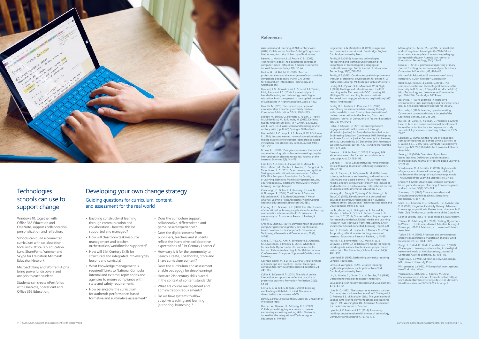- Enabling constructivist learning through communication and collaboration - how will this be supported and managed?
- How will classroom task/resource management and teacher orchestration/workflow be supported?
- How will 21st Century Skills be structured and integrated into everyday lessons and curricula?
- What knowledge management is required? Links to National Curricula, internal and external repositories and agencies to ensure compliance with state and safety requirements
- How balanced is the curriculum for authentic performance-based formative and summative assessment?
- Does the curriculum support collaborative, differentiated and game-based experiences?
- Does the digital content from publishers, teachers and students reflect the interactive, collaborative expectations of 21st Century Learners?
- How easy is it for the community to Search, Create, Collaborate, Store and Share curriculum content?
- Does the curriculum and assessment enable pedagogy for deep learning?
- How are 21st century skills placed in the context of content standards?
- administration requirements?
- adaptive teaching and learning (authoring, branching)?
- 
- -
	-
	- What are course management and
	- Do we have systems to allow

Assessment and Teaching of 21st Century Skills. (2014). Collaborative Problem Solving Progressions. Melbourne, Australia, University of Melbourne. Barrow, L., Markman, L., & Rouse, C. E. (2009). Technology's edge: The educational benefits of

computer-aided instruction. American Economic Journal: Economic Policy, 1(1), 52–74. Becker, H. J. & Riel, M. M. (1999). Teacher professionalism and the emergence of constructivist

compatible pedagogies. Irvine, CA: Center for Research on Information Technology and Organizations. Bernard, R.M., Borokhovski, E., Schmid, R.F, Tamim,

R.M., & Abrami, P.C. (2014). A meta-analysis of blended learning and technology use in higher education: From the general to the applied. Journal of Computing in Higher Education, 26(1), 87-122.

Biasutti, M. (2011). The student experience of a collaborative e-learning university module. Computers & Education, 57 (3), 1865–1875.

Binkley, M., Erstad, O., Herman, J., Raizen, S., Ripley, M., Miller-Ricci, M., & Rumble, M. (2012). Defining twenty-first century skills. In P. Griffin, B. McGaw, and E. Care (Eds.), Assessment and teaching of 21st century skills (pp. 17-66). Springer Netherlands.

Blumenfeld, P. C., Krajcik, J. S., Marx, R. W. & Soloway, E. (1994). Lessons learned: how collaboration helped middle grade science teachers learn project-based instruction. The Elementary School Journal, 94(5), 539-552.

Brown, A. L. (1992). Design experiments: theoretical and methodological challenges in creating complex interventions in classroom settings. Journal of the Learning Sciences 2(2), 141-178.

Camilleri, A., Ferrari, L., Haywood, J., Maina, M. F., Pérez-Mateo, M., Montes, R., Nouira, C., Sangrà, A., & Tannhäuser, A. C. (2012). Open learning recognition: Taking open educational resources a step further. EFQUEL – European Foundation for Quality in e-Learning. Retrieved from http://openaccess.uoc. edu/webapps/o2/ bitstream/10609/21341/1/Open-Learning-Recognition.pdf

Cavanaugh, C., Gillan, K. J., Kromrey, J., Hess, M., & Blomeyer, R. (2004). The Effects of Distance Education on K-12 Student Outcomes: A Meta-Analysis. Learning Point Associates/North Central Regional Educational Laboratory (NCREL).

Cheung, A. C., & Slavin, R. E. (2013). The effectiveness of educational technology applications for enhancing mathematics achievement in K-12 classrooms: A meta-analysis. Educational Research Review, 9, 88-113.

Chu, H. & Chang, S. (2014). Developing an educational computer game for migratory bird identification based on a two-tier test approach. Educational Technology Research and Development, 62 (2), 147-161.

Clegg, T., Yip, J. C., Ahn, J., Bonsignore, E., Gubbels, M., Lewittes, B., & Rhodes, E. (2013). When faceto-face fails: Opportunities for social media to foster collaborative learning. In Tenth International Conference on Computer Supported Collaborative Learning.

Cochran-Smith, M. & Lytle, S.L. (1999). Relationships of knowledge and practice: Teacher learning in communities. Review of Research in Education, 24, 249-305.

Collin, K. & Karsenti, T. (2013). The role of online interaction as support for reflective practice in preservice teachers. Formation Profession, 20(2), 64-81.

Microsoft in Education 25 www.microsoft.com/ education/ ©2014 Microsoft Corporation

Costa, A. L., & Kallick, B. (Eds.). (2008). Learning and leading with habits of mind: 16 essential characteristics for success. ASCD.

Dewey, J. (1933). How we think. Madison: University of Wisconsin Press.

Drexler, W., Dawson, K., & Ferdig, R. E. (2007). Collaborative blogging as a means to develop elementary expository writing skills. Electronic Journal for the Integration of Technology in Education, 6, 140-160.

Engestrom, Y. & Middleton, D. (1996). Cognition and communication at work. Cambridge, England: Cambridge University Press.

Ferdig, R.E. (2006). Assessing technologies for teaching and learning: Understanding the importance of technological-pedagogical content knowledge. British Journal of Educational Technology, 37(5), 749-760.

Ferdig, R.E. (2010). Continuous quality improvement through professional development for online K-12 instructors. Lansing, MI: Michigan Virtual University.

Ferdig, R. E., Pytash, K. E., Merchant, W., & Nigh, J. (2014). Findings and reflections from the K-12 teaching in the 21st century MOOC. Lansing, MI: Michigan Virtual Learning Research Institute. Retrieved from http://media.mivu.org/institute/pdf/ Mooc\_Findings.pdf

Ferdig, R.E., Roehler, L., Pearson, P.D. (2002). Scaffolding preservice teacher learning through web-based discussion forums: An examination of online conversations in the Reading Classroom Explorer. Journal of Computing in Teacher Education, 18(3), 87-94. (PDF)

Fielke, J. & Quinn, D. (2011). Improving student engagement with self-assessment through ePortfolios [online]. In: Australasian Association for Engineering Education Conference 2011: Developing engineers for social justice: Community involvement ethics & sustainability 5-7 December 2011, Fremantle,<br>Western Australia. Barton, A.C.T.: Engineers Australia, 2011: 473-478.



### **Technologies** schools can use to support change

Gavelek, J. R. & Raphael, T. (1996). Changing talk about text: new roles for teachers and students. Language Arts, 73, 182–192. Gokhale, A. (1995). Collaborative learning enhances critical thinking. Journal of Technology Education,

7(1), 22-30. Han, S., Capraro, R., & Capraro, M. M. (2014). How science, technology, engineering, and mathematics (STEM) project-based learning (PBL) affects high, middle, and low achievers differently: The impact of student factors on achievement. International Journal of Science and Mathematics Education, 1-25. Hwang, G. J., Sung, H. Y., Hung, C. M., Huang, I., &

Tsai, C. C. (2012). Development of a personalized educational computer game based on students' learning styles. Educational Technology Research and Development, 60(4), 623-638.

Ito, M., Gutiérrez, K., Livingstone, S., Penuel, B., Rhodes, J., Salen, K., Schor, J., Sefton-Green, J., & Watkins, S. C. (2013). Connected learning: An agenda for research and design. Digital Media and Learning Research Hub. Retrieved from: http://dmlhub.net/ sites/default/files/Connected\_Learning\_report.pdf

Kori, K., Pedaste, M., Leijen, Ä., & Mäeots, M. (2014). Supporting reflection in technology-enhanced learning. Educational Research Review, 11, 45-55.

Krajcik, J. S., Blumenfeld, P. C., Marx, R. W. & Soloway, E. (1994). A collaborative model for helping middle grade science teachers learn project-based instruction. The Elementary School Journal, 94(5) 483–497.

Laurillard, D. (1996). Rethinking university teaching. London: Routledge.

Lave, J. & Wenger, E. (1991). Situated learning: legitimate peripheral participation. New York: Cambridge University Press. Lin, X., Hmelo, C., Kinzer, C. K., & Secules, T. J. (1999). Designing technology to support reflection.

Educational Technology Research and Development, 47(3), 43-62. Linn, M. C. (1992). The computer as learning partner: Can computer tools teach science? In K. Sheingold, L. G. Roberts & S. M. Malcolm (Eds), This year in school science 1991: Technology for teaching and learning (pp. 31–69). Washington, DC: American Association for the Advancement of Science.

Lysenko, L.V. & Abrami, P.C. (2014). Promoting reading comprehension with the use of technology. Computers and Education, 75, 162-172.

McLoughlin, C., & Lee, M. J. (2010). Personalized and self regulated learning in the Web 2.0 era: International exemplars of innovative pedagogy using social software. Australasian Journal of Educational Technology, 26(1), 28-43.

Nicolai, I. (2013). E-portfolios supporting primary students' writing performance and peer feedback. Computers & Education, 68, 404-415.

Resnick, M., Rusk, N. & Cooke, S. (1998). The computer clubhouse: Technological fluency in the inner city. In D. Schon, B. Sanyal & W. Mitchell (Eds), High Technology and Low-Income Communities (pp. 266–286). Cambridge: MIT Press.

Roschelle, J. (1997). Learning in interactive environments: Prior knowledge and new experience (pp. 37-54). Exploratorium Institute for Inquiry. Roschelle, J. (1992). Learning by collaborating: Convergent conceptual change. Journal of the Learning Sciences, 2(3), 235-276.

Russell, M., Carey, R., Kleiman, G., Venable, J. (2009). Face-to-face and online professional development for mathematics teachers: A comparative study. Journal of Asynchronous Learning Networks, 13(2), 71-87.

Salomon, G. (1993). On the nature of pedagogic computer tools: the case of the writing partner. In S. Lajoie & S. J. Derry (Eds), Computers as cognitive tools (pp. 179–196). Hillsdale, NJ: Lawrence Erlbaum Associates.

Savery, J. R. (2006). Overview of problembased learning: Definitions and distinctions. Interdisciplinary Journal of Problem-based Learning, 1(1), 9-20.

Scardamalia, M. & Bereiter, C. (1991). Higher levels of agency for children in knowledge building: A challenge for the design of new knowledge media. The Journal of the Learning Sciences 1(1), 37-68.

Shute, V. J. (2011). Stealth assessment in computerbased games to support learning. Computer games and instruction, 55(2), 503-524.

Shulman, L. S. (1986). Those who understand: Knowledge growth in teaching. Educational Researcher, 15(2), 4-14.

Spiro, R. J., Coulson, R. L., Feltovich, P. J., & Anderson, D. K. (1988). Cognitive Flexibility Theory: Advanced knowledge acquisition in ill-structured domains. In V. Patel (Ed.), Tenth annual conference of the Cognitive

Science Society (pp. 375–383). Hillsdale, NJ: Erlbaum. Thissen, D., & Mislevy, R.J. (2000). Testing Algorithms. In Wainer, H. (Ed.) Computerized Adaptive Testing: A Primer, pp. 101-133. Mahwah, NJ: Lawrence Erlbaum Associates.

Tudge, J. R. H. (1992). Processes and consequences of peer collaboration: a Vygotskian analysis. Child Development, 63, 1364–1379.

Voogt, J., Erstad, O., Dede, C. and Mishra, P. (2013), Challenges to learning and schooling in the digital networked world of the 21st century. Journal of Computer Assisted Learning, 29, 403–413.

Vygotsky, L. S. (1978). Mind in society. Cambridge, MA: Harvard University Press.

Wittgenstein, L. (1953). Philosophical investigations. New York: Macmillan.

Yonezawa, S., McClure, L., & Jones, M. (2012). Personalization in schools. Available online: http:// www.studentsatthecenter.org/sites/scl.dl-dev.com/ files/Personalization%20in%20Schools.pdf

#### **References**

Windows 10, together with Office 365 Education and OneNote, supports collaboration, personalization and reflection.

Schools can build a connected curriculum with collaboration tools with Office 365 Education, Lync, SharePoint, Yammer and Skype for Education Microsoft Educator Network.

Microsoft Bing and Wolfram Alpha bring powerful discovery and analysis to each student.

Students can create ePortfolios with OneNote, SharePoint and Office 365 Education.

### Developing your own change strategy Guiding questions for curriculum, content, and assessment for the real world